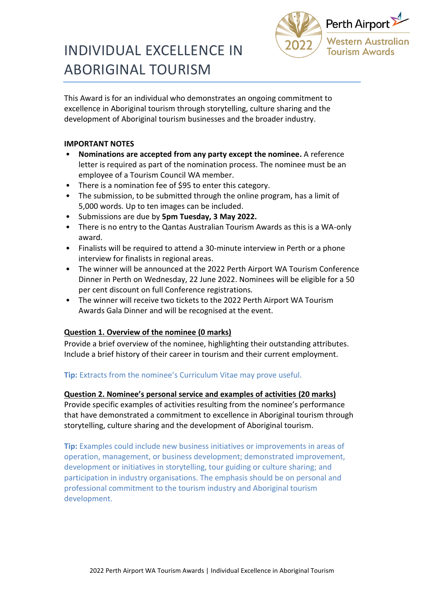

# INDIVIDUAL EXCELLENCE IN ABORIGINAL TOURISM

This Award is for an individual who demonstrates an ongoing commitment to excellence in Aboriginal tourism through storytelling, culture sharing and the development of Aboriginal tourism businesses and the broader industry.

#### **IMPORTANT NOTES**

- **Nominations are accepted from any party except the nominee.** A reference letter is required as part of the nomination process. The nominee must be an employee of a Tourism Council WA member.
- There is a nomination fee of \$95 to enter this category.
- The submission, to be submitted through the online program, has a limit of 5,000 words. Up to ten images can be included.
- Submissions are due by **5pm Tuesday, 3 May 2022.**
- There is no entry to the Qantas Australian Tourism Awards as this is a WA-only award.
- Finalists will be required to attend a 30-minute interview in Perth or a phone interview for finalists in regional areas.
- The winner will be announced at the 2022 Perth Airport WA Tourism Conference Dinner in Perth on Wednesday, 22 June 2022. Nominees will be eligible for a 50 per cent discount on full Conference registrations*.*
- The winner will receive two tickets to the 2022 Perth Airport WA Tourism Awards Gala Dinner and will be recognised at the event.

#### **Question 1. Overview of the nominee (0 marks)**

Provide a brief overview of the nominee, highlighting their outstanding attributes. Include a brief history of their career in tourism and their current employment.

## **Tip:** Extracts from the nominee's Curriculum Vitae may prove useful.

**Question 2. Nominee's personal service and examples of activities (20 marks)** Provide specific examples of activities resulting from the nominee's performance that have demonstrated a commitment to excellence in Aboriginal tourism through storytelling, culture sharing and the development of Aboriginal tourism.

**Tip:** Examples could include new business initiatives or improvements in areas of operation, management, or business development; demonstrated improvement, development or initiatives in storytelling, tour guiding or culture sharing; and participation in industry organisations. The emphasis should be on personal and professional commitment to the tourism industry and Aboriginal tourism development.